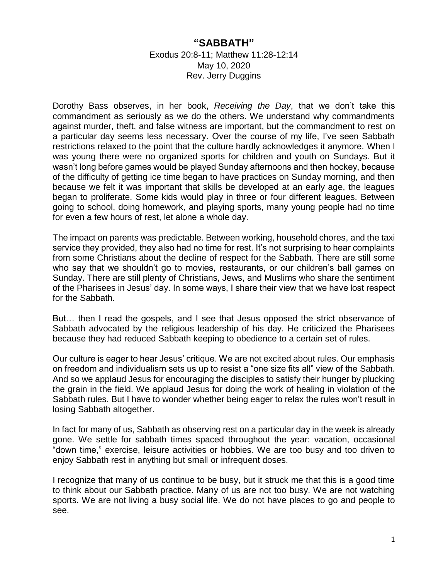## **"SABBATH"**

## Exodus 20:8-11; Matthew 11:28-12:14 May 10, 2020 Rev. Jerry Duggins

Dorothy Bass observes, in her book, *Receiving the Day*, that we don't take this commandment as seriously as we do the others. We understand why commandments against murder, theft, and false witness are important, but the commandment to rest on a particular day seems less necessary. Over the course of my life, I've seen Sabbath restrictions relaxed to the point that the culture hardly acknowledges it anymore. When I was young there were no organized sports for children and youth on Sundays. But it wasn't long before games would be played Sunday afternoons and then hockey, because of the difficulty of getting ice time began to have practices on Sunday morning, and then because we felt it was important that skills be developed at an early age, the leagues began to proliferate. Some kids would play in three or four different leagues. Between going to school, doing homework, and playing sports, many young people had no time for even a few hours of rest, let alone a whole day.

The impact on parents was predictable. Between working, household chores, and the taxi service they provided, they also had no time for rest. It's not surprising to hear complaints from some Christians about the decline of respect for the Sabbath. There are still some who say that we shouldn't go to movies, restaurants, or our children's ball games on Sunday. There are still plenty of Christians, Jews, and Muslims who share the sentiment of the Pharisees in Jesus' day. In some ways, I share their view that we have lost respect for the Sabbath.

But… then I read the gospels, and I see that Jesus opposed the strict observance of Sabbath advocated by the religious leadership of his day. He criticized the Pharisees because they had reduced Sabbath keeping to obedience to a certain set of rules.

Our culture is eager to hear Jesus' critique. We are not excited about rules. Our emphasis on freedom and individualism sets us up to resist a "one size fits all" view of the Sabbath. And so we applaud Jesus for encouraging the disciples to satisfy their hunger by plucking the grain in the field. We applaud Jesus for doing the work of healing in violation of the Sabbath rules. But I have to wonder whether being eager to relax the rules won't result in losing Sabbath altogether.

In fact for many of us, Sabbath as observing rest on a particular day in the week is already gone. We settle for sabbath times spaced throughout the year: vacation, occasional "down time," exercise, leisure activities or hobbies. We are too busy and too driven to enjoy Sabbath rest in anything but small or infrequent doses.

I recognize that many of us continue to be busy, but it struck me that this is a good time to think about our Sabbath practice. Many of us are not too busy. We are not watching sports. We are not living a busy social life. We do not have places to go and people to see.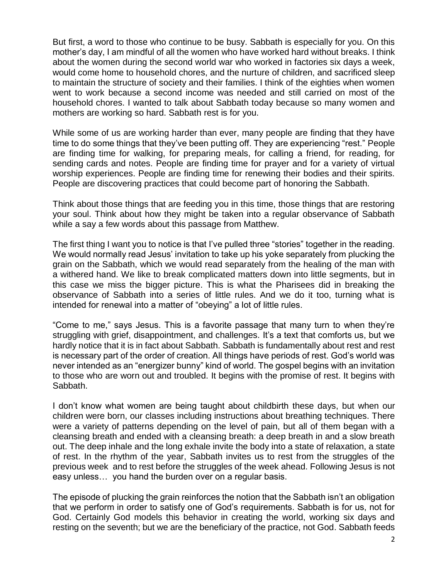But first, a word to those who continue to be busy. Sabbath is especially for you. On this mother's day, I am mindful of all the women who have worked hard without breaks. I think about the women during the second world war who worked in factories six days a week, would come home to household chores, and the nurture of children, and sacrificed sleep to maintain the structure of society and their families. I think of the eighties when women went to work because a second income was needed and still carried on most of the household chores. I wanted to talk about Sabbath today because so many women and mothers are working so hard. Sabbath rest is for you.

While some of us are working harder than ever, many people are finding that they have time to do some things that they've been putting off. They are experiencing "rest." People are finding time for walking, for preparing meals, for calling a friend, for reading, for sending cards and notes. People are finding time for prayer and for a variety of virtual worship experiences. People are finding time for renewing their bodies and their spirits. People are discovering practices that could become part of honoring the Sabbath.

Think about those things that are feeding you in this time, those things that are restoring your soul. Think about how they might be taken into a regular observance of Sabbath while a say a few words about this passage from Matthew.

The first thing I want you to notice is that I've pulled three "stories" together in the reading. We would normally read Jesus' invitation to take up his yoke separately from plucking the grain on the Sabbath, which we would read separately from the healing of the man with a withered hand. We like to break complicated matters down into little segments, but in this case we miss the bigger picture. This is what the Pharisees did in breaking the observance of Sabbath into a series of little rules. And we do it too, turning what is intended for renewal into a matter of "obeying" a lot of little rules.

"Come to me," says Jesus. This is a favorite passage that many turn to when they're struggling with grief, disappointment, and challenges. It's a text that comforts us, but we hardly notice that it is in fact about Sabbath. Sabbath is fundamentally about rest and rest is necessary part of the order of creation. All things have periods of rest. God's world was never intended as an "energizer bunny" kind of world. The gospel begins with an invitation to those who are worn out and troubled. It begins with the promise of rest. It begins with Sabbath.

I don't know what women are being taught about childbirth these days, but when our children were born, our classes including instructions about breathing techniques. There were a variety of patterns depending on the level of pain, but all of them began with a cleansing breath and ended with a cleansing breath: a deep breath in and a slow breath out. The deep inhale and the long exhale invite the body into a state of relaxation, a state of rest. In the rhythm of the year, Sabbath invites us to rest from the struggles of the previous week and to rest before the struggles of the week ahead. Following Jesus is not easy unless… you hand the burden over on a regular basis.

The episode of plucking the grain reinforces the notion that the Sabbath isn't an obligation that we perform in order to satisfy one of God's requirements. Sabbath is for us, not for God. Certainly God models this behavior in creating the world, working six days and resting on the seventh; but we are the beneficiary of the practice, not God. Sabbath feeds